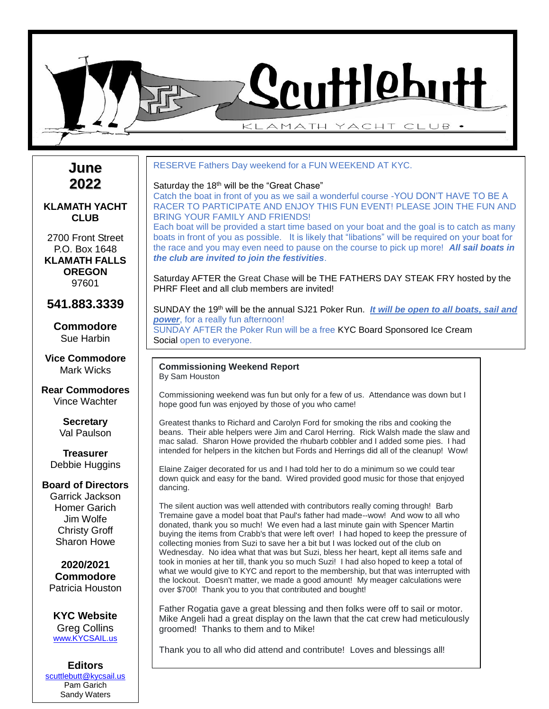

**June 2022**

### **KLAMATH YACHT CLUB**

2700 Front Street P.O. Box 1648 **KLAMATH FALLS OREGON** 97601

**541.883.3339**

**Commodore** Sue Harbin

**Vice Commodore** Mark Wicks

**Rear Commodores** Vince Wachter

> **Secretary** Val Paulson

**Treasurer** Debbie Huggins

#### **Board of Directors**

Garrick Jackson Homer Garich Jim Wolfe Christy Groff Sharon Howe

**2020/2021 Commodore** Patricia Houston

**KYC Website** Greg Collins www.KYCSAIL.us

**Editors** [scuttlebutt@kycsail.us](mailto:kycnewsletter@gmail.com) Pam Garich Sandy Waters

### RESERVE Fathers Day weekend for a FUN WEEKEND AT KYC.

#### Saturday the 18<sup>th</sup> will be the "Great Chase"

*the club are invited to join the festivities*.

Catch the boat in front of you as we sail a wonderful course -YOU DON'T HAVE TO BE A RACER TO PARTICIPATE AND ENJOY THIS FUN EVENT! PLEASE JOIN THE FUN AND BRING YOUR FAMILY AND FRIENDS! Each boat will be provided a start time based on your boat and the goal is to catch as many boats in front of you as possible. It is likely that "libations" will be required on your boat for the race and you may even need to pause on the course to pick up more! *All sail boats in* 

Saturday AFTER the Great Chase will be THE FATHERS DAY STEAK FRY hosted by the PHRF Fleet and all club members are invited!

SUNDAY the 19<sup>th</sup> will be the annual SJ21 Poker Run. *It will be open to all boats, sail and* **power**, for a really fun afternoon! SUNDAY AFTER the Poker Run will be a free KYC Board Sponsored Ice Cream Social open to everyone.

**Commissioning Weekend Report** By Sam Houston

Commissioning weekend was fun but only for a few of us. Attendance was down but I hope good fun was enjoyed by those of you who came!

Greatest thanks to Richard and Carolyn Ford for smoking the ribs and cooking the beans. Their able helpers were Jim and Carol Herring. Rick Walsh made the slaw and mac salad. Sharon Howe provided the rhubarb cobbler and I added some pies. I had intended for helpers in the kitchen but Fords and Herrings did all of the cleanup! Wow!

Elaine Zaiger decorated for us and I had told her to do a minimum so we could tear down quick and easy for the band. Wired provided good music for those that enjoyed dancing.

The silent auction was well attended with contributors really coming through! Barb Tremaine gave a model boat that Paul's father had made--wow! And wow to all who donated, thank you so much! We even had a last minute gain with Spencer Martin buying the items from Crabb's that were left over! I had hoped to keep the pressure of collecting monies from Suzi to save her a bit but I was locked out of the club on Wednesday. No idea what that was but Suzi, bless her heart, kept all items safe and took in monies at her till, thank you so much Suzi! I had also hoped to keep a total of what we would give to KYC and report to the membership, but that was interrupted with the lockout. Doesn't matter, we made a good amount! My meager calculations were over \$700! Thank you to you that contributed and bought!

Father Rogatia gave a great blessing and then folks were off to sail or motor. Mike Angeli had a great display on the lawn that the cat crew had meticulously groomed! Thanks to them and to Mike!

Thank you to all who did attend and contribute! Loves and blessings all!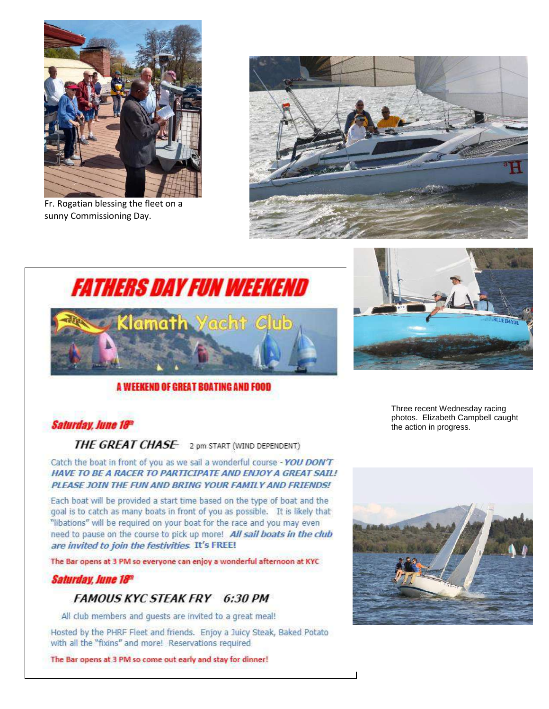

Fr. Rogatian blessing the fleet on a sunny Commissioning Day.





## A WEEKEND OF GREAT BOATING AND FOOD



Three recent Wednesday racing photos. Elizabeth Campbell caught the action in progress.

# **Saturday, June 18th**

THE GREAT CHASE 2 pm START (WIND DEPENDENT)

Catch the boat in front of you as we sail a wonderful course - YOU DON'T HAVE TO BE A RACER TO PARTICIPATE AND ENJOY A GREAT SAIL! PLEASE JOIN THE FUN AND BRING YOUR FAMILY AND FRIENDS!

Each boat will be provided a start time based on the type of boat and the goal is to catch as many boats in front of you as possible. It is likely that "libations" will be required on your boat for the race and you may even need to pause on the course to pick up more! All sail boats in the club are invited to join the festivities. It's FREE!

The Bar opens at 3 PM so everyone can enjoy a wonderful afternoon at KYC

## Saturday, June 18th

## **FAMOUS KYC STEAK FRY 6:30 PM**

All club members and quests are invited to a great meal!

Hosted by the PHRF Fleet and friends. Enjoy a Juicy Steak, Baked Potato with all the "fixins" and more! Reservations required

The Bar opens at 3 PM so come out early and stay for dinner!

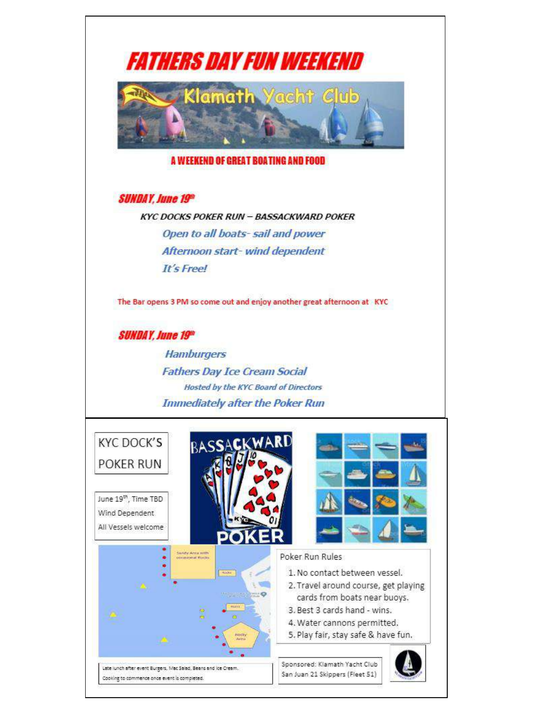

Late lunch after event Burgers, Mac Salad, Beans and Ice Cream. Cooking to commence once event is completed.

Sponsored: Klamath Yacht Club San Juan 21 Skippers (Fleet 51)

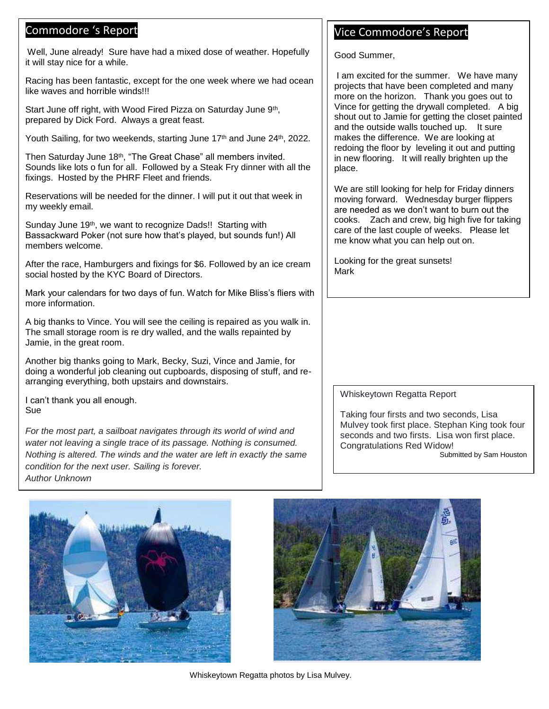# Commodore 's Report

 Well, June already! Sure have had a mixed dose of weather. Hopefully it will stay nice for a while.

Racing has been fantastic, except for the one week where we had ocean like waves and horrible winds!!!

Start June off right, with Wood Fired Pizza on Saturday June 9<sup>th</sup>, prepared by Dick Ford. Always a great feast.

Youth Sailing, for two weekends, starting June 17<sup>th</sup> and June 24<sup>th</sup>, 2022.

Then Saturday June 18<sup>th</sup>, "The Great Chase" all members invited. Sounds like lots o fun for all. Followed by a Steak Fry dinner with all the fixings. Hosted by the PHRF Fleet and friends.

Reservations will be needed for the dinner. I will put it out that week in my weekly email.

Sunday June 19<sup>th</sup>, we want to recognize Dads!! Starting with Bassackward Poker (not sure how that's played, but sounds fun!) All members welcome.

After the race, Hamburgers and fixings for \$6. Followed by an ice cream social hosted by the KYC Board of Directors.

 more information. Mark your calendars for two days of fun. Watch for Mike Bliss's fliers with

A big thanks to Vince. You will see the ceiling is repaired as you walk in. The small storage room is re dry walled, and the walls repainted by Jamie, in the great room.

Another big thanks going to Mark, Becky, Suzi, Vince and Jamie, for doing a wonderful job cleaning out cupboards, disposing of stuff, and rearranging everything, both upstairs and downstairs.

I can't thank you all enough. Sue

 *water not leaving a single trace of its passage. Nothing is consumed. For the most part, a sailboat navigates through its world of wind and Nothing is altered. The winds and the water are left in exactly the same condition for the next user. Sailing is forever. Author Unknown*

# Vice Commodore's Report

Good Summer,

I am excited for the summer. We have many projects that have been completed and many more on the horizon. Thank you goes out to Vince for getting the drywall completed. A big shout out to Jamie for getting the closet painted and the outside walls touched up. It sure makes the difference. We are looking at redoing the floor by leveling it out and putting in new flooring. It will really brighten up the place.

We are still looking for help for Friday dinners moving forward. Wednesday burger flippers are needed as we don't want to burn out the cooks. Zach and crew, big high five for taking care of the last couple of weeks. Please let me know what you can help out on.

Looking for the great sunsets! Mark

#### Whiskeytown Regatta Report

Taking four firsts and two seconds, Lisa Mulvey took first place. Stephan King took four seconds and two firsts. Lisa won first place. Congratulations Red Widow!

Submitted by Sam Houston





Whiskeytown Regatta photos by Lisa Mulvey.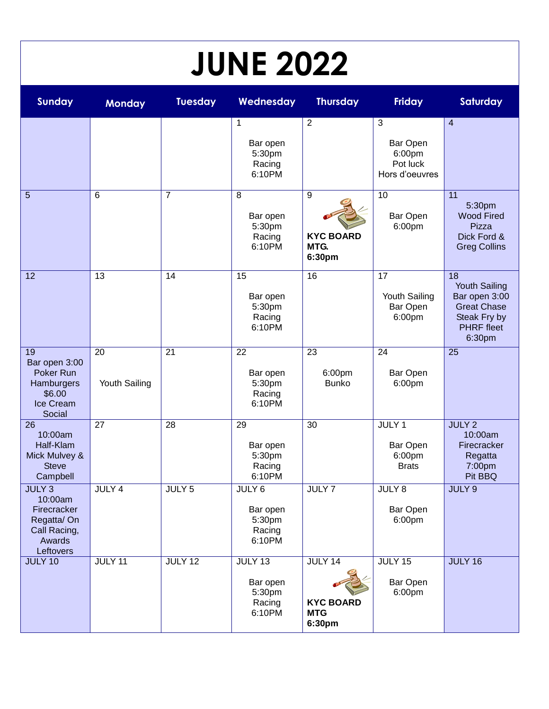| <b>JUNE 2022</b>                                                                                 |                     |                   |                                                          |                                                     |                                                         |                                                                                                           |
|--------------------------------------------------------------------------------------------------|---------------------|-------------------|----------------------------------------------------------|-----------------------------------------------------|---------------------------------------------------------|-----------------------------------------------------------------------------------------------------------|
| <b>Sunday</b>                                                                                    | <b>Monday</b>       | <b>Tuesday</b>    | Wednesday                                                | <b>Thursday</b>                                     | <b>Friday</b>                                           | Saturday                                                                                                  |
|                                                                                                  |                     |                   | $\mathbf 1$<br>Bar open<br>5:30pm<br>Racing<br>6:10PM    | 2                                                   | 3<br>Bar Open<br>6:00pm<br>Pot luck<br>Hors d'oeuvres   | $\overline{4}$                                                                                            |
| 5                                                                                                | 6                   | $\overline{7}$    | 8<br>Bar open<br>5:30pm<br>Racing<br>6:10PM              | 9<br><b>KYC BOARD</b><br>MTG.<br>6:30pm             | 10<br>Bar Open<br>6:00pm                                | 11<br>5:30pm<br><b>Wood Fired</b><br>Pizza<br>Dick Ford &<br><b>Greg Collins</b>                          |
| 12                                                                                               | 13                  | 14                | 15<br>Bar open<br>5:30pm<br>Racing<br>6:10PM             | 16                                                  | 17<br>Youth Sailing<br>Bar Open<br>6:00pm               | 18<br>Youth Sailing<br>Bar open 3:00<br><b>Great Chase</b><br>Steak Fry by<br><b>PHRF</b> fleet<br>6:30pm |
| 19<br>Bar open 3:00<br>Poker Run<br>Hamburgers<br>\$6.00<br>Ice Cream<br>Social                  | 20<br>Youth Sailing | 21                | 22<br>Bar open<br>5:30pm<br>Racing<br>6:10PM             | 23<br>6:00pm<br><b>Bunko</b>                        | 24<br>Bar Open<br>6:00pm                                | 25                                                                                                        |
| 26<br>10:00am<br>Half-Klam<br>Mick Mulvey &<br><b>Steve</b><br>Campbell                          | 27                  | 28                | 29<br>Bar open<br>5:30pm<br>Racing<br>6:10PM             | 30                                                  | JULY <sub>1</sub><br>Bar Open<br>6:00pm<br><b>Brats</b> | <b>JULY 2</b><br>10:00am<br>Firecracker<br>Regatta<br>7:00pm<br>Pit BBQ                                   |
| JULY <sub>3</sub><br>10:00am<br>Firecracker<br>Regatta/On<br>Call Racing,<br>Awards<br>Leftovers | JULY 4              | JULY <sub>5</sub> | JULY 6<br>Bar open<br>5:30pm<br>Racing<br>6:10PM         | JULY 7                                              | JULY 8<br>Bar Open<br>6:00pm                            | JULY <sub>9</sub>                                                                                         |
| <b>JULY 10</b>                                                                                   | JULY 11             | <b>JULY 12</b>    | <b>JULY 13</b><br>Bar open<br>5:30pm<br>Racing<br>6:10PM | JULY 14<br><b>KYC BOARD</b><br><b>MTG</b><br>6:30pm | JULY 15<br>Bar Open<br>6:00pm                           | JULY 16                                                                                                   |